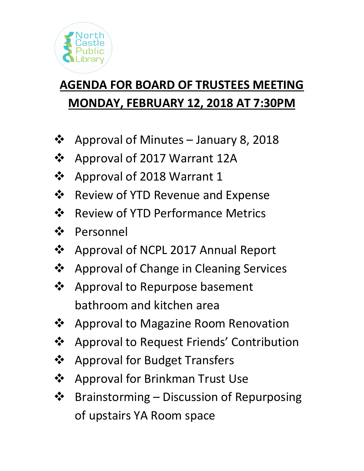

# **AGENDA FOR BOARD OF TRUSTEES MEETING MONDAY, FEBRUARY 12, 2018 AT 7:30PM**

- ❖ Approval of Minutes January 8, 2018
- ❖ Approval of 2017 Warrant 12A
- ❖ Approval of 2018 Warrant 1
- ❖ Review of YTD Revenue and Expense
- ❖ Review of YTD Performance Metrics
- ❖ Personnel
- ❖ Approval of NCPL 2017 Annual Report
- ❖ Approval of Change in Cleaning Services
- ❖ Approval to Repurpose basement bathroom and kitchen area
- ❖ Approval to Magazine Room Renovation
- ❖ Approval to Request Friends' Contribution
- ❖ Approval for Budget Transfers
- ❖ Approval for Brinkman Trust Use
- ❖ Brainstorming Discussion of Repurposing of upstairs YA Room space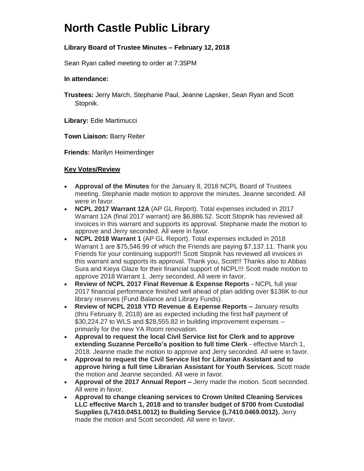### **North Castle Public Library**

### **Library Board of Trustee Minutes – February 12, 2018**

Sean Ryan called meeting to order at 7:35PM

#### **In attendance:**

**Trustees:** Jerry March, Stephanie Paul, Jeanne Lapsker, Sean Ryan and Scott Stopnik.

**Library:** Edie Martimucci

**Town Liaison:** Barry Reiter

**Friends:** Marilyn Heimerdinger

#### **Key Votes/Review**

- **Approval of the Minutes** for the January 8, 2018 NCPL Board of Trustees meeting. Stephanie made motion to approve the minutes. Jeanne seconded. All were in favor.
- **NCPL 2017 Warrant 12A** (AP GL Report). Total expenses included in 2017 Warrant 12A (final 2017 warrant) are \$6,886.52. Scott Stopnik has reviewed all invoices in this warrant and supports its approval. Stephanie made the motion to approve and Jerry seconded. All were in favor.
- **NCPL 2018 Warrant 1** (AP GL Report). Total expenses included in 2018 Warrant 1 are \$75,546.99 of which the Friends are paying \$7,137.11. Thank you Friends for your continuing support!!! Scott Stopnik has reviewed all invoices in this warrant and supports its approval. Thank you, Scott!!! Thanks also to Abbas Sura and Kieya Glaze for their financial support of NCPL!!! Scott made motion to approve 2018 Warrant 1. Jerry seconded. All were in favor.
- **Review of NCPL 2017 Final Revenue & Expense Reports -** NCPL full year 2017 financial performance finished well ahead of plan adding over \$136K to our library reserves (Fund Balance and Library Funds).
- **Review of NCPL 2018 YTD Revenue & Expense Reports –** January results (thru February 8, 2018) are as expected including the first half payment of \$30,224.27 to WLS and \$28,555.82 in building improvement expenses – primarily for the new YA Room renovation.
- **Approval to request the local Civil Service list for Clerk and to approve extending Suzanne Percello's position to full time Clerk** - effective March 1, 2018. Jeanne made the motion to approve and Jerry seconded. All were in favor.
- **Approval to request the Civil Service list for Librarian Assistant and to approve hiring a full time Librarian Assistant for Youth Services.** Scott made the motion and Jeanne seconded. All were in favor.
- **Approval of the 2017 Annual Report –** Jerry made the motion. Scott seconded. All were in favor.
- **Approval to change cleaning services to Crown United Cleaning Services LLC effective March 1, 2018 and to transfer budget of \$700 from Custodial Supplies (L7410.0451.0012) to Building Service (L7410.0469.0012).** Jerry made the motion and Scott seconded. All were in favor.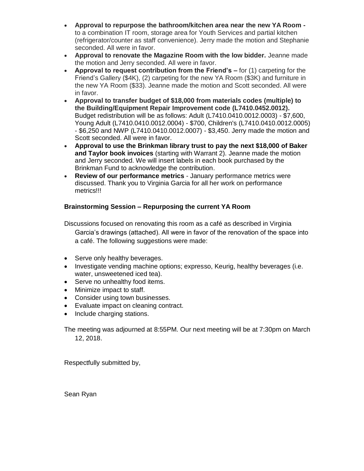- **Approval to repurpose the bathroom/kitchen area near the new YA Room**  to a combination IT room, storage area for Youth Services and partial kitchen (refrigerator/counter as staff convenience). Jerry made the motion and Stephanie seconded. All were in favor.
- **Approval to renovate the Magazine Room with the low bidder.** Jeanne made the motion and Jerry seconded. All were in favor.
- **Approval to request contribution from the Friend's –** for (1) carpeting for the Friend's Gallery (\$4K), (2) carpeting for the new YA Room (\$3K) and furniture in the new YA Room (\$33). Jeanne made the motion and Scott seconded. All were in favor.
- **Approval to transfer budget of \$18,000 from materials codes (multiple) to the Building/Equipment Repair Improvement code (L7410.0452.0012).** Budget redistribution will be as follows: Adult (L7410.0410.0012.0003) - \$7,600, Young Adult (L7410.0410.0012.0004) - \$700, Children's (L7410.0410.0012.0005) - \$6,250 and NWP (L7410.0410.0012.0007) - \$3,450. Jerry made the motion and Scott seconded. All were in favor.
- **Approval to use the Brinkman library trust to pay the next \$18,000 of Baker and Taylor book invoices** (starting with Warrant 2). Jeanne made the motion and Jerry seconded. We will insert labels in each book purchased by the Brinkman Fund to acknowledge the contribution.
- **Review of our performance metrics** January performance metrics were discussed. Thank you to Virginia Garcia for all her work on performance metrics!!!

#### **Brainstorming Session – Repurposing the current YA Room**

Discussions focused on renovating this room as a café as described in Virginia Garcia's drawings (attached). All were in favor of the renovation of the space into a café. The following suggestions were made:

- Serve only healthy beverages.
- Investigate vending machine options; expresso, Keurig, healthy beverages (i.e. water, unsweetened iced tea).
- Serve no unhealthy food items.
- Minimize impact to staff.
- Consider using town businesses.
- Evaluate impact on cleaning contract.
- Include charging stations.

The meeting was adjourned at 8:55PM. Our next meeting will be at 7:30pm on March 12, 2018.

Respectfully submitted by,

Sean Ryan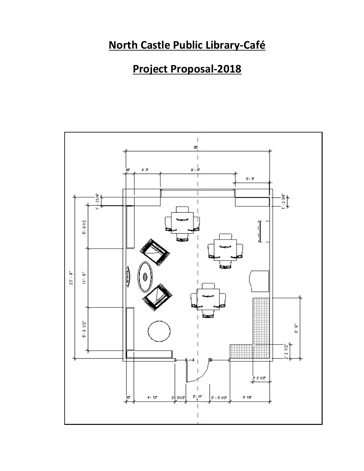### **North Castle Public Library-Café**

## **Project Proposal-2018**